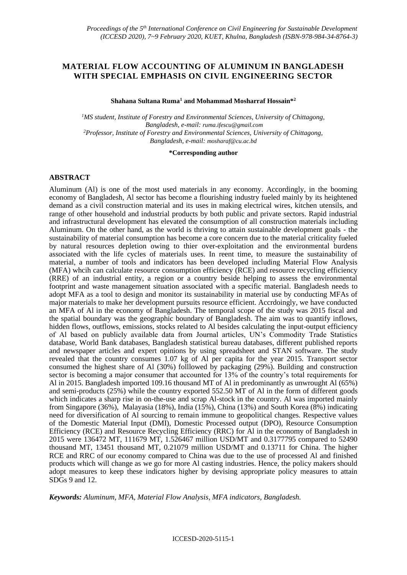# **MATERIAL FLOW ACCOUNTING OF ALUMINUM IN BANGLADESH WITH SPECIAL EMPHASIS ON CIVIL ENGINEERING SECTOR**

#### **Shahana Sultana Ruma<sup>1</sup> and Mohammad Mosharraf Hossain\*<sup>2</sup>**

*<sup>1</sup>MS student, Institute of Forestry and Environmental Sciences, University of Chittagong, Bangladesh, e-mail: [ruma.ifescu@gmail.com](mailto:ruma.ifescu@gmail.com) <sup>2</sup>Professor, Institute of Forestry and Environmental Sciences, University of Chittagong, Bangladesh, e-mail: [mosharaf@cu.ac.bd](mailto:mosharaf@cu.ac.bd)*

#### **\*Corresponding author**

#### **ABSTRACT**

Aluminum (Al) is one of the most used materials in any economy. Accordingly, in the booming economy of Bangladesh, Al sector has become a flourishing industry fueled mainly by its heightened demand as a civil construction material and its uses in making electrical wires, kitchen utensils, and range of other household and industrial products by both public and private sectors. Rapid industrial and infrastructural development has elevated the consumption of all construction materials including Aluminum. On the other hand, as the world is thriving to attain sustainable development goals - the sustainability of material consumption has become a core concern due to the material criticality fueled by natural resources depletion owing to thier over-exploitation and the environmental burdens associated with the life cycles of materials uses. In reent time, to measure the sustainability of material, a number of tools and indicators has been developed including Material Flow Analysis (MFA) whcih can calculate resource consumption efficiency (RCE) and resource recycling efficiency (RRE) of an industrial entity, a region or a country beside helping to assess the environmental footprint and waste management situation associated with a specific material. Bangladesh needs to adopt MFA as a tool to design and monitor its sustainability in material use by conducting MFAs of major materials to make her development pursuits resource efficient. Accrdoingly, we have conducted an MFA of Al in the economy of Bangladesh. The temporal scope of the study was 2015 fiscal and the spatial boundary was the geographic boundary of Bangladesh. The aim was to quantify inflows, hidden flows, outflows, emissions, stocks related to Al besides calculating the input-output efficiency of Al based on publicly available data from Journal articles, UN's Commodity Trade Statistics database, World Bank databases, Bangladesh statistical bureau databases, different published reports and newspaper articles and expert opinions by using spreadsheet and STAN software. The study revealed that the country consumes 1.07 kg of Al per capita for the year 2015. Transport sector consumed the highest share of Al (30%) folllowed by packaging (29%). Building and construction sector is becoming a major consumer that accounted for 13% of the country's total requirements for Al in 2015. Bangladesh imported 109.16 thousand MT of Al in predominantly as unwrought Al (65%) and semi-products (25%) while the country exported 552.50 MT of Al in the form of different goods which indicates a sharp rise in on-the-use and scrap Al-stock in the country. Al was imported mainly from Singapore (36%), Malayasia (18%), India (15%), China (13%) and South Korea (8%) indicating need for diversification of Al sourcing to remain immune to geopolitical changes. Respective values of the Domestic Material Input (DMI), Domestic Processed output (DPO), Resource Consumption Efficiency (RCE) and Resource Recycling Efficiency (RRC) for Al in the economy of Bangladesh in 2015 were 136472 MT, 111679 MT, 1.526467 million USD/MT and 0.3177795 compared to 52490 thousand MT, 13451 thousand MT, 0.21079 million USD/MT and 0.13711 for China. The higher RCE and RRC of our economy compared to China was due to the use of processed Al and finished products which will change as we go for more Al casting industries. Hence, the policy makers should adopt measures to keep these indicators higher by devising appropriate policy measures to attain SDGs 9 and 12.

*Keywords: Aluminum, MFA, Material Flow Analysis, MFA indicators, Bangladesh.*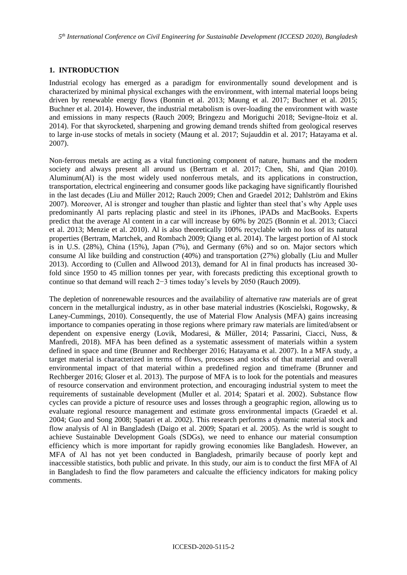### **1. INTRODUCTION**

Industrial ecology has emerged as a paradigm for environmentally sound development and is characterized by minimal physical exchanges with the environment, with internal material loops being driven by renewable energy flows (Bonnin et al. 2013; Maung et al. 2017; Buchner et al. 2015; Buchner et al. 2014). However, the industrial metabolism is over-loading the environment with waste and emissions in many respects (Rauch 2009; Bringezu and Moriguchi 2018; Sevigne-Itoiz et al. 2014). For that skyrocketed, sharpening and growing demand trends shifted from geological reserves to large in-use stocks of metals in society (Maung et al. 2017; Sujauddin et al. 2017; Hatayama et al. 2007).

Non-ferrous metals are acting as a vital functioning component of nature, humans and the modern society and always present all around us (Bertram et al. 2017; Chen, Shi, and Qian 2010). Aluminum(Al) is the most widely used nonferrous metals, and its applications in construction, transportation, electrical engineering and consumer goods like packaging have significantly flourished in the last decades (Liu and Müller 2012; Rauch 2009; Chen and Graedel 2012; Dahlström and Ekins 2007). Moreover, Al is stronger and tougher than plastic and lighter than steel that's why Apple uses predominantly Al parts replacing plastic and steel in its iPhones, iPADs and MacBooks. Experts predict that the average Al content in a car will increase by 60% by 2025 (Bonnin et al. 2013; Ciacci et al. 2013; Menzie et al. 2010). Al is also theoretically 100% recyclable with no loss of its natural properties (Bertram, Martchek, and Rombach 2009; Qiang et al. 2014). The largest portion of Al stock is in U.S. (28%), China (15%), Japan (7%), and Germany (6%) and so on. Major sectors which consume Al like building and construction (40%) and transportation (27%) globally (Liu and Muller 2013). According to (Cullen and Allwood 2013), demand for Al in final products has increased 30 fold since 1950 to 45 million tonnes per year, with forecasts predicting this exceptional growth to continue so that demand will reach 2−3 times today's levels by 2050 (Rauch 2009).

The depletion of nonrenewable resources and the availability of alternative raw materials are of great concern in the metallurgical industry, as in other base material industries (Koscielski, Rogowsky, & Laney-Cummings, 2010). Consequently, the use of Material Flow Analysis (MFA) gains increasing importance to companies operating in those regions where primary raw materials are limited/absent or dependent on expensive energy (Lovik, Modaresi, & Müller, 2014; Passarini, Ciacci, Nuss, & Manfredi, 2018). MFA has been defined as a systematic assessment of materials within a system defined in space and time (Brunner and Rechberger 2016; Hatayama et al. 2007). In a MFA study, a target material is characterized in terms of flows, processes and stocks of that material and overall environmental impact of that material within a predefined region and timeframe (Brunner and Rechberger 2016; Gloser et al. 2013). The purpose of MFA is to look for the potentials and measures of resource conservation and environment protection, and encouraging industrial system to meet the requirements of sustainable development (Muller et al. 2014; Spatari et al. 2002). Substance flow cycles can provide a picture of resource uses and losses through a geographic region, allowing us to evaluate regional resource management and estimate gross environmental impacts (Graedel et al. 2004; Guo and Song 2008; Spatari et al. 2002). This research performs a dynamic material stock and flow analysis of Al in Bangladesh (Daigo et al. 2009; Spatari et al. 2005). As the wrld is sought to achieve Sustainable Development Goals (SDGs), we need to enhance our material consumption efficiency which is more important for rapidly growing economies like Bangladesh. However, an MFA of Al has not yet been conducted in Bangladesh, primarily because of poorly kept and inaccessible statistics, both public and private. In this study, our aim is to conduct the first MFA of Al in Bangladesh to find the flow parameters and calcualte the efficiency indicators for making policy comments.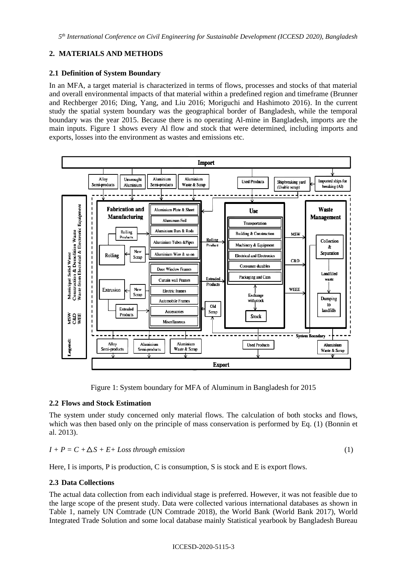## **2. MATERIALS AND METHODS**

#### **2.1 Definition of System Boundary**

In an MFA, a target material is characterized in terms of flows, processes and stocks of that material and overall environmental impacts of that material within a predefined region and timeframe (Brunner and Rechberger 2016; Ding, Yang, and Liu 2016; Moriguchi and Hashimoto 2016). In the current study the spatial system boundary was the geographical border of Bangladesh, while the temporal boundary was the year 2015. Because there is no operating Al-mine in Bangladesh, imports are the main inputs. Figure 1 shows every Al flow and stock that were determined, including imports and exports, losses into the environment as wastes and emissions etc.



Figure 1: System boundary for MFA of Aluminum in Bangladesh for 2015

## **2.2 Flows and Stock Estimation**

The system under study concerned only material flows. The calculation of both stocks and flows, which was then based only on the principle of mass conservation is performed by Eq. (1) (Bonnin et al. 2013).

$$
I + P = C + \Delta S + E + Loss through emission
$$
 (1)

Here, I is imports, P is production, C is consumption, S is stock and E is export flows.

### **2.3 Data Collections**

The actual data collection from each individual stage is preferred. However, it was not feasible due to the large scope of the present study. Data were collected various international databases as shown in Table 1, namely UN Comtrade (UN Comtrade 2018), the World Bank (World Bank 2017), World Integrated Trade Solution and some local database mainly Statistical yearbook by Bangladesh Bureau

#### ICCESD-2020-5115-3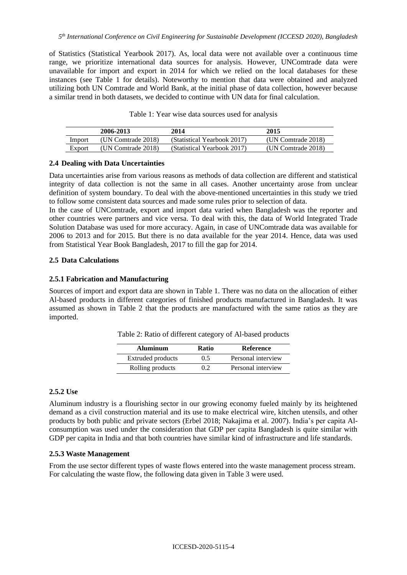of Statistics (Statistical Yearbook 2017). As, local data were not available over a continuous time range, we prioritize international data sources for analysis. However, UNComtrade data were unavailable for import and export in 2014 for which we relied on the local databases for these instances (see Table 1 for details). Noteworthy to mention that data were obtained and analyzed utilizing both UN Comtrade and World Bank, at the initial phase of data collection, however because a similar trend in both datasets, we decided to continue with UN data for final calculation.

|        | 2006-2013          | 2014                        | 2015               |
|--------|--------------------|-----------------------------|--------------------|
| Import | (UN Comtrade 2018) | (Statistical Yearbook 2017) | (UN Comtrade 2018) |
| Export | (UN Comtrade 2018) | (Statistical Yearbook 2017) | (UN Comtrade 2018) |

Table 1: Year wise data sources used for analysis

### **2.4 Dealing with Data Uncertainties**

Data uncertainties arise from various reasons as methods of data collection are different and statistical integrity of data collection is not the same in all cases. Another uncertainty arose from unclear definition of system boundary. To deal with the above-mentioned uncertainties in this study we tried to follow some consistent data sources and made some rules prior to selection of data.

In the case of UNComtrade, export and import data varied when Bangladesh was the reporter and other countries were partners and vice versa. To deal with this, the data of World Integrated Trade Solution Database was used for more accuracy. Again, in case of UNComtrade data was available for 2006 to 2013 and for 2015. But there is no data available for the year 2014. Hence, data was used from Statistical Year Book Bangladesh, 2017 to fill the gap for 2014.

### **2.5 Data Calculations**

## **2.5.1 Fabrication and Manufacturing**

Sources of import and export data are shown in Table 1. There was no data on the allocation of either Al-based products in different categories of finished products manufactured in Bangladesh. It was assumed as shown in Table 2 that the products are manufactured with the same ratios as they are imported.

| <b>Aluminum</b>   | Ratio | <b>Reference</b>   |
|-------------------|-------|--------------------|
| Extruded products | 0.5   | Personal interview |
| Rolling products  | 02    | Personal interview |

Table 2: Ratio of different category of Al-based products

## **2.5.2 Use**

Aluminum industry is a flourishing sector in our growing economy fueled mainly by its heightened demand as a civil construction material and its use to make electrical wire, kitchen utensils, and other products by both public and private sectors (Erbel 2018; Nakajima et al. 2007). India's per capita Alconsumption was used under the consideration that GDP per capita Bangladesh is quite similar with GDP per capita in India and that both countries have similar kind of infrastructure and life standards.

### **2.5.3 Waste Management**

From the use sector different types of waste flows entered into the waste management process stream. For calculating the waste flow, the following data given in Table 3 were used.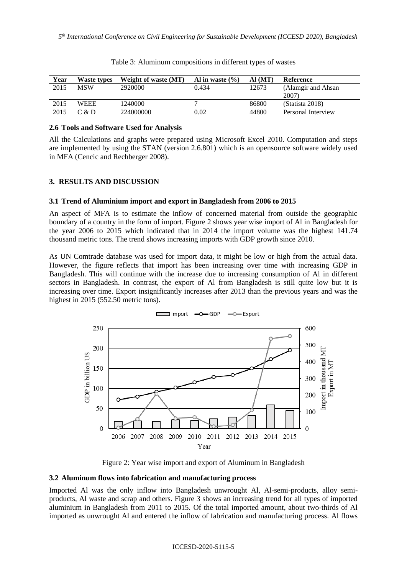| Year | Waste types | <b>Weight of waste (MT)</b> | Al in waste $(\% )$ | AI(MT) | Reference           |
|------|-------------|-----------------------------|---------------------|--------|---------------------|
| 2015 | <b>MSW</b>  | 2920000                     | 0.434               | 12673  | (Alamgir and Ahsan) |
|      |             |                             |                     |        | 2007)               |
| 2015 | <b>WEEE</b> | 1240000                     |                     | 86800  | (Statista 2018)     |
| 2015 | C & D       | 224000000                   | 0.02                | 44800  | Personal Interview  |

|  |  | Table 3: Aluminum compositions in different types of wastes |
|--|--|-------------------------------------------------------------|
|  |  |                                                             |

#### **2.6 Tools and Software Used for Analysis**

All the Calculations and graphs were prepared using Microsoft Excel 2010. Computation and steps are implemented by using the STAN (version 2.6.801) which is an opensource software widely used in MFA (Cencic and Rechberger 2008).

## **3. RESULTS AND DISCUSSION**

#### **3.1 Trend of Aluminium import and export in Bangladesh from 2006 to 2015**

An aspect of MFA is to estimate the inflow of concerned material from outside the geographic boundary of a country in the form of import. Figure 2 shows year wise import of Al in Bangladesh for the year 2006 to 2015 which indicated that in 2014 the import volume was the highest 141.74 thousand metric tons. The trend shows increasing imports with GDP growth since 2010.

As UN Comtrade database was used for import data, it might be low or high from the actual data. However, the figure reflects that import has been increasing over time with increasing GDP in Bangladesh. This will continue with the increase due to increasing consumption of Al in different sectors in Bangladesh. In contrast, the export of Al from Bangladesh is still quite low but it is increasing over time. Export insignificantly increases after 2013 than the previous years and was the highest in 2015 (552.50 metric tons).



Figure 2: Year wise import and export of Aluminum in Bangladesh

### **3.2 Aluminum flows into fabrication and manufacturing process**

Imported Al was the only inflow into Bangladesh unwrought Al, Al-semi-products, alloy semiproducts, Al waste and scrap and others. Figure 3 shows an increasing trend for all types of imported aluminium in Bangladesh from 2011 to 2015. Of the total imported amount, about two-thirds of Al imported as unwrought Al and entered the inflow of fabrication and manufacturing process. Al flows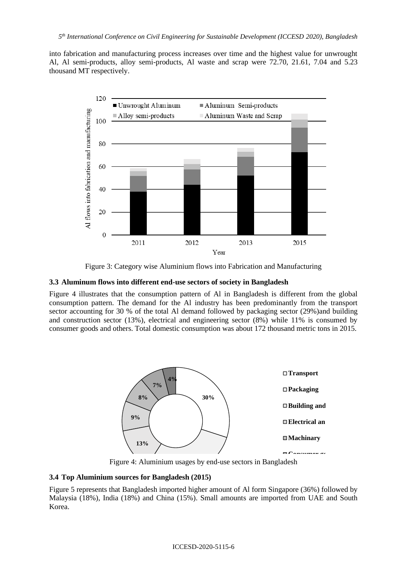into fabrication and manufacturing process increases over time and the highest value for unwrought Al, Al semi-products, alloy semi-products, Al waste and scrap were 72.70, 21.61, 7.04 and 5.23 thousand MT respectively.



Figure 3: Category wise Aluminium flows into Fabrication and Manufacturing

### **3.3 Aluminum flows into different end-use sectors of society in Bangladesh**

Figure 4 illustrates that the consumption pattern of Al in Bangladesh is different from the global consumption pattern. The demand for the Al industry has been predominantly from the transport sector accounting for 30 % of the total Al demand followed by packaging sector (29%)and building and construction sector (13%), electrical and engineering sector (8%) while 11% is consumed by consumer goods and others. Total domestic consumption was about 172 thousand metric tons in 2015.



Figure 4: Aluminium usages by end-use sectors in Bangladesh

#### **3.4 Top Aluminium sources for Bangladesh (2015)**

Figure 5 represents that Bangladesh imported higher amount of Al form Singapore (36%) followed by Malaysia (18%), India (18%) and China (15%). Small amounts are imported from UAE and South Korea.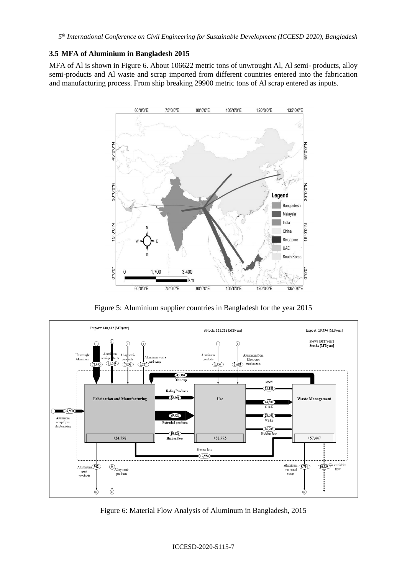*5 th International Conference on Civil Engineering for Sustainable Development (ICCESD 2020), Bangladesh*

#### **3.5 MFA of Aluminium in Bangladesh 2015**

MFA of Al is shown in Figure 6. About 106622 metric tons of unwrought Al, Al semi- products, alloy semi-products and Al waste and scrap imported from different countries entered into the fabrication and manufacturing process. From ship breaking 29900 metric tons of Al scrap entered as inputs.



Figure 5: Aluminium supplier countries in Bangladesh for the year 2015



Figure 6: Material Flow Analysis of Aluminum in Bangladesh, 2015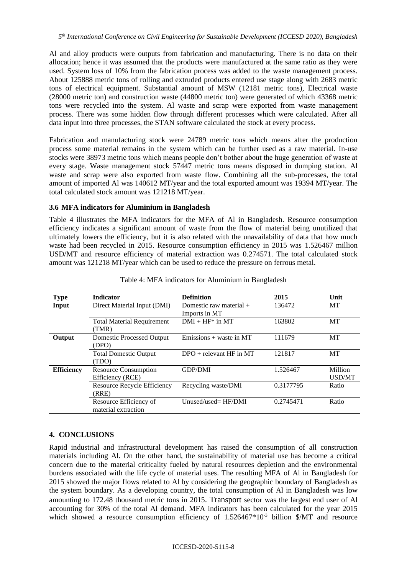Al and alloy products were outputs from fabrication and manufacturing. There is no data on their allocation; hence it was assumed that the products were manufactured at the same ratio as they were used. System loss of 10% from the fabrication process was added to the waste management process. About 125888 metric tons of rolling and extruded products entered use stage along with 2683 metric tons of electrical equipment. Substantial amount of MSW (12181 metric tons), Electrical waste (28000 metric ton) and construction waste (44800 metric ton) were generated of which 43368 metric tons were recycled into the system. Al waste and scrap were exported from waste management process. There was some hidden flow through different processes which were calculated. After all data input into three processes, the STAN software calculated the stock at every process.

Fabrication and manufacturing stock were 24789 metric tons which means after the production process some material remains in the system which can be further used as a raw material. In-use stocks were 38973 metric tons which means people don't bother about the huge generation of waste at every stage. Waste management stock 57447 metric tons means disposed in dumping station. Al waste and scrap were also exported from waste flow. Combining all the sub-processes, the total amount of imported Al was 140612 MT/year and the total exported amount was 19394 MT/year. The total calculated stock amount was 121218 MT/year.

## **3.6 MFA indicators for Aluminium in Bangladesh**

Table 4 illustrates the MFA indicators for the MFA of Al in Bangladesh. Resource consumption efficiency indicates a significant amount of waste from the flow of material being unutilized that ultimately lowers the efficiency, but it is also related with the unavailability of data that how much waste had been recycled in 2015. Resource consumption efficiency in 2015 was 1.526467 million USD/MT and resource efficiency of material extraction was 0.274571. The total calculated stock amount was 121218 MT/year which can be used to reduce the pressure on ferrous metal.

| <b>Type</b>       | Indicator                                       | <b>Definition</b>                        | 2015      | Unit              |
|-------------------|-------------------------------------------------|------------------------------------------|-----------|-------------------|
| Input             | Direct Material Input (DMI)                     | Domestic raw material +<br>Imports in MT | 136472    | MT                |
|                   | <b>Total Material Requirement</b><br>(TMR)      | $DMI + HF^*$ in MT                       | 163802    | MT                |
| Output            | Domestic Processed Output<br>(DPO)              | Emissions $+$ waste in MT                | 111679    | MT                |
|                   | <b>Total Domestic Output</b><br>(TDO)           | $DPO +$ relevant HF in MT                | 121817    | <b>MT</b>         |
| <b>Efficiency</b> | <b>Resource Consumption</b><br>Efficiency (RCE) | <b>GDP/DMI</b>                           | 1.526467  | Million<br>USD/MT |
|                   | <b>Resource Recycle Efficiency</b><br>(RRE)     | Recycling waste/DMI                      | 0.3177795 | Ratio             |
|                   | Resource Efficiency of<br>material extraction   | $Unused/used=HF/DMI$                     | 0.2745471 | Ratio             |

### Table 4: MFA indicators for Aluminium in Bangladesh

### **4. CONCLUSIONS**

Rapid industrial and infrastructural development has raised the consumption of all construction materials including Al. On the other hand, the sustainability of material use has become a critical concern due to the material criticality fueled by natural resources depletion and the environmental burdens associated with the life cycle of material uses. The resulting MFA of Al in Bangladesh for 2015 showed the major flows related to Al by considering the geographic boundary of Bangladesh as the system boundary. As a developing country, the total consumption of Al in Bangladesh was low amounting to 172.48 thousand metric tons in 2015. Transport sector was the largest end user of Al accounting for 30% of the total Al demand. MFA indicators has been calculated for the year 2015 which showed a resource consumption efficiency of  $1.526467*10^{-3}$  billion \$/MT and resource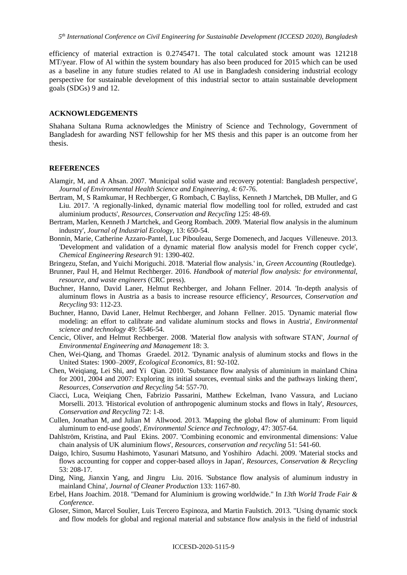efficiency of material extraction is 0.2745471. The total calculated stock amount was 121218 MT/year. Flow of Al within the system boundary has also been produced for 2015 which can be used as a baseline in any future studies related to Al use in Bangladesh considering industrial ecology perspective for sustainable development of this industrial sector to attain sustainable development goals (SDGs) 9 and 12.

#### **ACKNOWLEDGEMENTS**

Shahana Sultana Ruma acknowledges the Ministry of Science and Technology, Government of Bangladesh for awarding NST fellowship for her MS thesis and this paper is an outcome from her thesis.

#### **REFERENCES**

- Alamgir, M, and A Ahsan. 2007. 'Municipal solid waste and recovery potential: Bangladesh perspective', *Journal of Environmental Health Science and Engineering*, 4: 67-76.
- Bertram, M, S Ramkumar, H Rechberger, G Rombach, C Bayliss, Kenneth J Martchek, DB Muller, and G Liu. 2017. 'A regionally-linked, dynamic material flow modelling tool for rolled, extruded and cast aluminium products', *Resources, Conservation and Recycling* 125: 48-69.
- Bertram, Marlen, Kenneth J Martchek, and Georg Rombach. 2009. 'Material flow analysis in the aluminum industry', *Journal of Industrial Ecology*, 13: 650-54.
- Bonnin, Marie, Catherine Azzaro-Pantel, Luc Pibouleau, Serge Domenech, and Jacques Villeneuve. 2013. 'Development and validation of a dynamic material flow analysis model for French copper cycle', *Chemical Engineering Research* 91: 1390-402.
- Bringezu, Stefan, and Yuichi Moriguchi. 2018. 'Material flow analysis.' in, *Green Accounting* (Routledge).
- Brunner, Paul H, and Helmut Rechberger. 2016. *Handbook of material flow analysis: for environmental, resource, and waste engineers* (CRC press).
- Buchner, Hanno, David Laner, Helmut Rechberger, and Johann Fellner. 2014. 'In-depth analysis of aluminum flows in Austria as a basis to increase resource efficiency', *Resources, Conservation and Recycling* 93: 112-23.
- Buchner, Hanno, David Laner, Helmut Rechberger, and Johann Fellner. 2015. 'Dynamic material flow modeling: an effort to calibrate and validate aluminum stocks and flows in Austria', *Environmental science and technology* 49: 5546-54.
- Cencic, Oliver, and Helmut Rechberger. 2008. 'Material flow analysis with software STAN', *Journal of Environmental Engineering and Management* 18: 3.
- Chen, Wei-Qiang, and Thomas Graedel. 2012. 'Dynamic analysis of aluminum stocks and flows in the United States: 1900–2009', *Ecological Economics*, 81: 92-102.
- Chen, Weiqiang, Lei Shi, and Yi Qian. 2010. 'Substance flow analysis of aluminium in mainland China for 2001, 2004 and 2007: Exploring its initial sources, eventual sinks and the pathways linking them', *Resources, Conservation and Recycling* 54: 557-70.
- Ciacci, Luca, Weiqiang Chen, Fabrizio Passarini, Matthew Eckelman, Ivano Vassura, and Luciano Morselli. 2013. 'Historical evolution of anthropogenic aluminum stocks and flows in Italy', *Resources, Conservation and Recycling* 72: 1-8.
- Cullen, Jonathan M, and Julian M Allwood. 2013. 'Mapping the global flow of aluminum: From liquid aluminum to end-use goods', *Environmental Science and Technology*, 47: 3057-64.
- Dahlström, Kristina, and Paul Ekins. 2007. 'Combining economic and environmental dimensions: Value chain analysis of UK aluminium flows', *Resources, conservation and recycling* 51: 541-60.
- Daigo, Ichiro, Susumu Hashimoto, Yasunari Matsuno, and Yoshihiro Adachi. 2009. 'Material stocks and flows accounting for copper and copper-based alloys in Japan', *Resources, Conservation & Recycling* 53: 208-17.
- Ding, Ning, Jianxin Yang, and Jingru Liu. 2016. 'Substance flow analysis of aluminum industry in mainland China', *Journal of Cleaner Production* 133: 1167-80.
- Erbel, Hans Joachim. 2018. "Demand for Aluminium is growing worldwide." In *13th World Trade Fair & Conference*.
- Gloser, Simon, Marcel Soulier, Luis Tercero Espinoza, and Martin Faulstich. 2013. "Using dynamic stock and flow models for global and regional material and substance flow analysis in the field of industrial